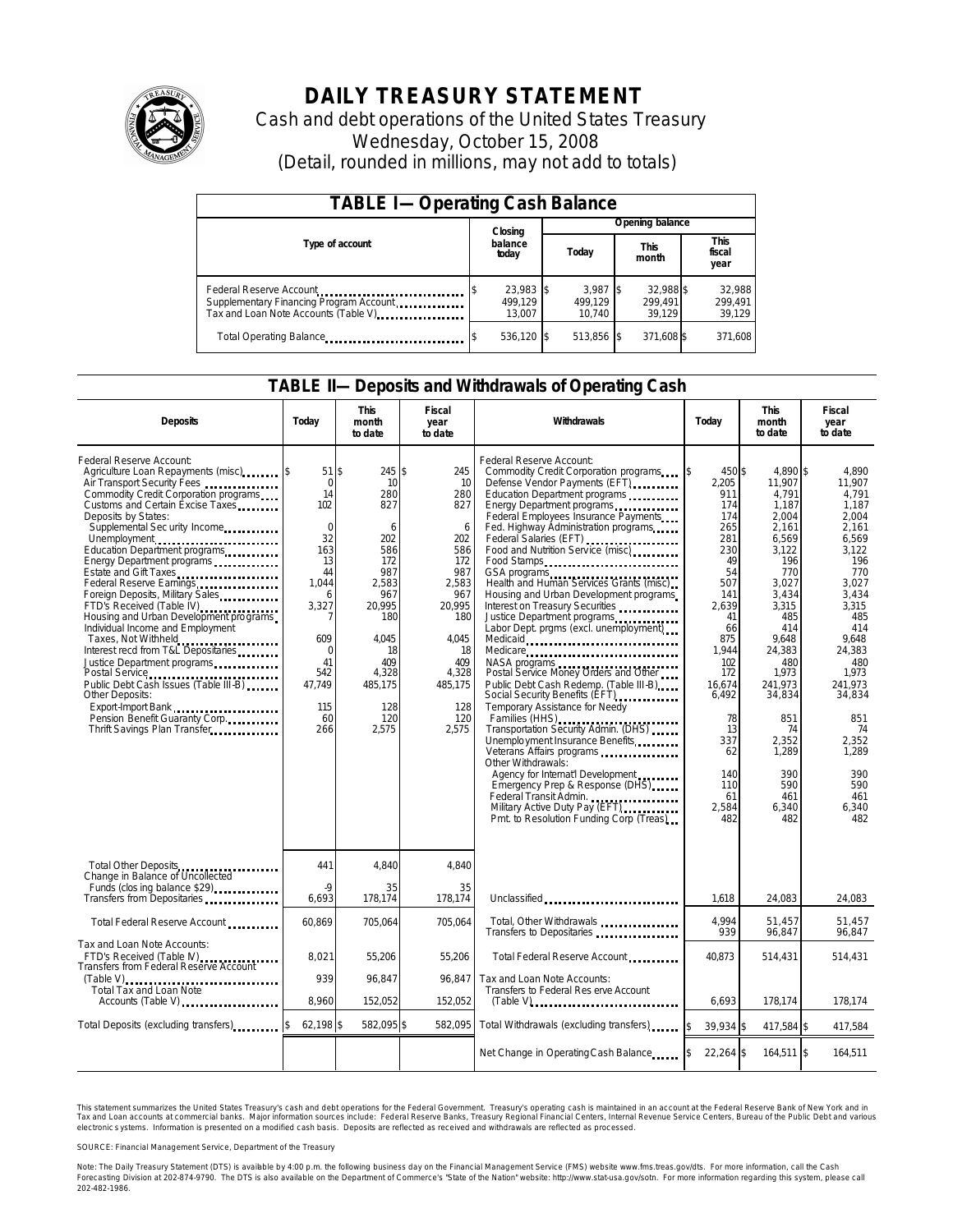

# **DAILY TREASURY STATEMENT**

Cash and debt operations of the United States Treasury Wednesday, October 15, 2008 (Detail, rounded in millions, may not add to totals)

| <b>TABLE I-Operating Cash Balance</b>                                                                      |                                |                                 |                                |                               |  |  |  |  |
|------------------------------------------------------------------------------------------------------------|--------------------------------|---------------------------------|--------------------------------|-------------------------------|--|--|--|--|
|                                                                                                            | Closing                        | Opening balance                 |                                |                               |  |  |  |  |
| Type of account                                                                                            | balance<br>today               | Today                           | This<br>month                  | <b>This</b><br>fiscal<br>year |  |  |  |  |
| Federal Reserve Account<br>Supplementary Financing Program Account<br>Tax and Loan Note Accounts (Table V) | 23,983 \$<br>499.129<br>13.007 | $3.987$ \$<br>499.129<br>10.740 | 32.988 \$<br>299.491<br>39.129 | 32,988<br>299,491<br>39,129   |  |  |  |  |
| Total Operating Balance                                                                                    | 536,120 \$                     | 513,856 \$                      | 371,608 \$                     | 371,608                       |  |  |  |  |

### **TABLE II—Deposits and Withdrawals of Operating Cash**

| <b>Deposits</b>                                                                                                                                                                                                                                                                                                                                                                                                                                                                                                                                                                                                                                                                                                                         | Todav                                                                                                                                                         | <b>This</b><br>month<br>to date                                                                                                                               | Fiscal<br>year<br>to date                                                                                                                                  | Withdrawals                                                                                                                                                                                                                                                                                                                                                                                                                                                                                                                                                                                                                                                                                                                                                                                                                                                                                                                                                                                                                                                     | Todav                                                                                                                                                                                                                  | <b>This</b><br>month<br>to date                                                                                                                                                                                                                             | Fiscal<br>year<br>to date                                                                                                                                                                                                                                |
|-----------------------------------------------------------------------------------------------------------------------------------------------------------------------------------------------------------------------------------------------------------------------------------------------------------------------------------------------------------------------------------------------------------------------------------------------------------------------------------------------------------------------------------------------------------------------------------------------------------------------------------------------------------------------------------------------------------------------------------------|---------------------------------------------------------------------------------------------------------------------------------------------------------------|---------------------------------------------------------------------------------------------------------------------------------------------------------------|------------------------------------------------------------------------------------------------------------------------------------------------------------|-----------------------------------------------------------------------------------------------------------------------------------------------------------------------------------------------------------------------------------------------------------------------------------------------------------------------------------------------------------------------------------------------------------------------------------------------------------------------------------------------------------------------------------------------------------------------------------------------------------------------------------------------------------------------------------------------------------------------------------------------------------------------------------------------------------------------------------------------------------------------------------------------------------------------------------------------------------------------------------------------------------------------------------------------------------------|------------------------------------------------------------------------------------------------------------------------------------------------------------------------------------------------------------------------|-------------------------------------------------------------------------------------------------------------------------------------------------------------------------------------------------------------------------------------------------------------|----------------------------------------------------------------------------------------------------------------------------------------------------------------------------------------------------------------------------------------------------------|
| Federal Reserve Account:<br>Air Transport Security Fees<br>Commodity Credit Corporation programs<br>Customs and Certain Excise Taxes<br>Deposits by States:<br>Supplemental Sec urity Income<br>Unemployment<br>Education Department programs<br>Energy Department programs<br>Estate and Gift Taxes<br>Federal Reserve Earnings<br>Foreign Deposits, Military Sales<br>FTD's Received (Table IV)<br>Housing and Urban Development programs<br>Individual Income and Employment<br>Taxes, Not Withheld<br>Interest recd from T&L Depositaries<br>Justice Department programs<br>Public Debt Cash Issues (Table III-B)<br><b>Other Deposits:</b><br>Export-Import Bank<br>Pension Benefit Guaranty Corp.<br>Thrift Savings Plan Transfer | $51$ $$$<br>0<br>14<br>102<br>$\overline{0}$<br>32<br>163<br>13<br>44<br>1,044<br>6<br>3,327<br>609<br>$\mathbf 0$<br>41<br>542<br>47,749<br>115<br>60<br>266 | 245 \$<br>10<br>280<br>827<br>6<br>202<br>586<br>172<br>987<br>2,583<br>967<br>20.995<br>180<br>4,045<br>18<br>409<br>4,328<br>485,175<br>128<br>120<br>2,575 | 245<br>10<br>280<br>827<br>6<br>202<br>586<br>172<br>987<br>2,583<br>967<br>20.995<br>180<br>4,045<br>18<br>409<br>4,328<br>485,175<br>128<br>120<br>2,575 | Federal Reserve Account:<br>Commodity Credit Corporation programs<br>Defense Vendor Payments (EFT)<br>Education Department programs<br>Energy Department programs<br>Federal Employees Insurance Payments<br>Fed. Highway Administration programs<br>Federal Salaries (EFT)<br>Food and Nutrition Service (misc)<br>Food Stamps<br>Health and Human Services Grants (misc)<br>Housing and Urban Development programs<br>Interest on Treasury Securities<br>Justice Department programs<br>Labor Dept. prgms (excl. unemployment)<br>Medicaid<br>Medicare<br>NASA programs<br>Postal Service Money Orders and Other<br>Public Debt Cash Redemp. (Table III-B)<br>Social Security Benefits (EFT)<br>Temporary Assistance for Needy<br>Families (HHS)<br>Transportation Security Admin. (DHS)<br>Unemployment Insurance Benefits<br>Veterans Affairs programs<br>Other Withdrawals:<br>Agency for Internat'l Development<br>Emergency Prep & Response (DHS)<br>Federal Transit Admin.<br>Military Active Duty Pay (EFT)<br>Pmt. to Resolution Funding Corp (Treas) | 450 \$<br>2,205<br>911<br>174<br>174<br>265<br>281<br>230<br>49<br>54<br>507<br>141<br>2,639<br>41<br>66<br>875<br>1,944<br>102<br>172<br>16,674<br>6,492<br>78<br>13<br>337<br>62<br>140<br>110<br>61<br>2.584<br>482 | 4.890 \$<br>11,907<br>4.791<br>1,187<br>2.004<br>2,161<br>6,569<br>3,122<br>196<br>770<br>3,027<br>3,434<br>3,315<br>485<br>414<br>9,648<br>24,383<br>480<br>1,973<br>241.973<br>34,834<br>851<br>74<br>2,352<br>1,289<br>390<br>590<br>461<br>6,340<br>482 | 4,890<br>11,907<br>4.791<br>1.187<br>2.004<br>2,161<br>6,569<br>3.122<br>196<br>770<br>3,027<br>3,434<br>3.315<br>485<br>414<br>9,648<br>24,383<br>480<br>1,973<br>241.973<br>34,834<br>851<br>74<br>2.352<br>1.289<br>390<br>590<br>461<br>6,340<br>482 |
| <b>Total Other Deposits</b><br>Change in Balance of Uncollected<br>Funds (clos ing balance \$29)                                                                                                                                                                                                                                                                                                                                                                                                                                                                                                                                                                                                                                        | 441<br>-9                                                                                                                                                     | 4,840<br>35                                                                                                                                                   | 4.840<br>35                                                                                                                                                |                                                                                                                                                                                                                                                                                                                                                                                                                                                                                                                                                                                                                                                                                                                                                                                                                                                                                                                                                                                                                                                                 |                                                                                                                                                                                                                        |                                                                                                                                                                                                                                                             |                                                                                                                                                                                                                                                          |
| Transfers from Depositaries                                                                                                                                                                                                                                                                                                                                                                                                                                                                                                                                                                                                                                                                                                             | 6,693                                                                                                                                                         | 178,174                                                                                                                                                       | 178,174                                                                                                                                                    | Unclassified                                                                                                                                                                                                                                                                                                                                                                                                                                                                                                                                                                                                                                                                                                                                                                                                                                                                                                                                                                                                                                                    | 1.618                                                                                                                                                                                                                  | 24,083                                                                                                                                                                                                                                                      | 24,083                                                                                                                                                                                                                                                   |
| Total Federal Reserve Account                                                                                                                                                                                                                                                                                                                                                                                                                                                                                                                                                                                                                                                                                                           | 60,869                                                                                                                                                        | 705,064                                                                                                                                                       | 705,064                                                                                                                                                    | Total, Other Withdrawals<br>Transfers to Depositaries <b>container</b>                                                                                                                                                                                                                                                                                                                                                                                                                                                                                                                                                                                                                                                                                                                                                                                                                                                                                                                                                                                          | 4.994<br>939                                                                                                                                                                                                           | 51,457<br>96.847                                                                                                                                                                                                                                            | 51,457<br>96.847                                                                                                                                                                                                                                         |
| Tax and Loan Note Accounts:<br>FTD's Received (Table M)<br>Transfers from Federal Reserve Account                                                                                                                                                                                                                                                                                                                                                                                                                                                                                                                                                                                                                                       | 8.021                                                                                                                                                         | 55,206                                                                                                                                                        | 55,206                                                                                                                                                     | Total Federal Reserve Account                                                                                                                                                                                                                                                                                                                                                                                                                                                                                                                                                                                                                                                                                                                                                                                                                                                                                                                                                                                                                                   | 40.873                                                                                                                                                                                                                 | 514,431                                                                                                                                                                                                                                                     | 514,431                                                                                                                                                                                                                                                  |
| Total Tax and Loan Note<br>Accounts (Table V)                                                                                                                                                                                                                                                                                                                                                                                                                                                                                                                                                                                                                                                                                           | 939<br>8.960                                                                                                                                                  | 96,847<br>152.052                                                                                                                                             | 96.847<br>152,052                                                                                                                                          | Tax and Loan Note Accounts:<br>Transfers to Federal Res erve Account<br>$(Table V)$                                                                                                                                                                                                                                                                                                                                                                                                                                                                                                                                                                                                                                                                                                                                                                                                                                                                                                                                                                             | 6.693                                                                                                                                                                                                                  | 178.174                                                                                                                                                                                                                                                     | 178.174                                                                                                                                                                                                                                                  |
| Total Deposits (excluding transfers)                                                                                                                                                                                                                                                                                                                                                                                                                                                                                                                                                                                                                                                                                                    | 62.198 \$                                                                                                                                                     | 582,095 \$                                                                                                                                                    | 582.095                                                                                                                                                    | Total Withdrawals (excluding transfers)                                                                                                                                                                                                                                                                                                                                                                                                                                                                                                                                                                                                                                                                                                                                                                                                                                                                                                                                                                                                                         | 39,934 \$<br>l\$                                                                                                                                                                                                       | 417,584 \$                                                                                                                                                                                                                                                  | 417,584                                                                                                                                                                                                                                                  |
|                                                                                                                                                                                                                                                                                                                                                                                                                                                                                                                                                                                                                                                                                                                                         |                                                                                                                                                               |                                                                                                                                                               |                                                                                                                                                            | Net Change in Operating Cash Balance                                                                                                                                                                                                                                                                                                                                                                                                                                                                                                                                                                                                                                                                                                                                                                                                                                                                                                                                                                                                                            | 22,264 \$                                                                                                                                                                                                              | 164,511 \$                                                                                                                                                                                                                                                  | 164,511                                                                                                                                                                                                                                                  |

This statement summarizes the United States Treasury's cash and debt operations for the Federal Government. Treasury's operating cash is maintained in an account at the Federal Reserve Bank of New York and in<br>Tax and Loan electronic s ystems. Information is presented on a modified cash basis. Deposits are reflected as received and withdrawals are reflected as processed.

SOURCE: Financial Management Service, Department of the Treasury

Note: The Daily Treasury Statement (DTS) is available by 4:00 p.m. the following business day on the Financial Management Service (FMS) website www.fms.treas.gov/dts. For more information, call the Cash Forecasting Division at 202-874-9790. The DTS is also available on the Department of Commerce's "State of the Nation" website: http://www.stat-usa.gov/sotn. For more information regarding this system, please call<br>202-482-1